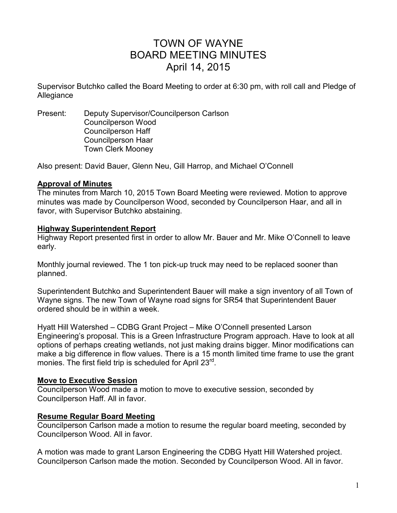# TOWN OF WAYNE BOARD MEETING MINUTES April 14, 2015

Supervisor Butchko called the Board Meeting to order at 6:30 pm, with roll call and Pledge of Allegiance

Present: Deputy Supervisor/Councilperson Carlson Councilperson Wood Councilperson Haff Councilperson Haar Town Clerk Mooney

Also present: David Bauer, Glenn Neu, Gill Harrop, and Michael O'Connell

#### **Approval of Minutes**

The minutes from March 10, 2015 Town Board Meeting were reviewed. Motion to approve minutes was made by Councilperson Wood, seconded by Councilperson Haar, and all in favor, with Supervisor Butchko abstaining.

#### **Highway Superintendent Report**

Highway Report presented first in order to allow Mr. Bauer and Mr. Mike O'Connell to leave early.

Monthly journal reviewed. The 1 ton pick-up truck may need to be replaced sooner than planned.

Superintendent Butchko and Superintendent Bauer will make a sign inventory of all Town of Wayne signs. The new Town of Wayne road signs for SR54 that Superintendent Bauer ordered should be in within a week.

Hyatt Hill Watershed – CDBG Grant Project – Mike O'Connell presented Larson Engineering's proposal. This is a Green Infrastructure Program approach. Have to look at all options of perhaps creating wetlands, not just making drains bigger. Minor modifications can make a big difference in flow values. There is a 15 month limited time frame to use the grant monies. The first field trip is scheduled for April 23<sup>rd</sup>.

#### **Move to Executive Session**

Councilperson Wood made a motion to move to executive session, seconded by Councilperson Haff. All in favor.

#### **Resume Regular Board Meeting**

Councilperson Carlson made a motion to resume the regular board meeting, seconded by Councilperson Wood. All in favor.

A motion was made to grant Larson Engineering the CDBG Hyatt Hill Watershed project. Councilperson Carlson made the motion. Seconded by Councilperson Wood. All in favor.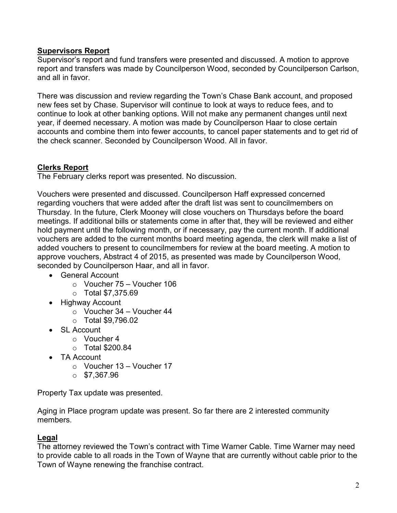## **Supervisors Report**

Supervisor's report and fund transfers were presented and discussed. A motion to approve report and transfers was made by Councilperson Wood, seconded by Councilperson Carlson, and all in favor.

There was discussion and review regarding the Town's Chase Bank account, and proposed new fees set by Chase. Supervisor will continue to look at ways to reduce fees, and to continue to look at other banking options. Will not make any permanent changes until next year, if deemed necessary. A motion was made by Councilperson Haar to close certain accounts and combine them into fewer accounts, to cancel paper statements and to get rid of the check scanner. Seconded by Councilperson Wood. All in favor.

# **Clerks Report**

The February clerks report was presented. No discussion.

Vouchers were presented and discussed. Councilperson Haff expressed concerned regarding vouchers that were added after the draft list was sent to councilmembers on Thursday. In the future, Clerk Mooney will close vouchers on Thursdays before the board meetings. If additional bills or statements come in after that, they will be reviewed and either hold payment until the following month, or if necessary, pay the current month. If additional vouchers are added to the current months board meeting agenda, the clerk will make a list of added vouchers to present to councilmembers for review at the board meeting. A motion to approve vouchers, Abstract 4 of 2015, as presented was made by Councilperson Wood, seconded by Councilperson Haar, and all in favor.

- General Account
	- o Voucher 75 Voucher 106
	- o Total \$7,375.69
- Highway Account
	- $\circ$  Voucher 34 Voucher 44
	- o Total \$9,796.02
- SL Account
	- o Voucher 4
	- $\circ$  Total \$200.84
- TA Account
	- $\circ$  Voucher 13 Voucher 17
	- $\circ$  \$7,367.96

Property Tax update was presented.

Aging in Place program update was present. So far there are 2 interested community members.

# **Legal**

The attorney reviewed the Town's contract with Time Warner Cable. Time Warner may need to provide cable to all roads in the Town of Wayne that are currently without cable prior to the Town of Wayne renewing the franchise contract.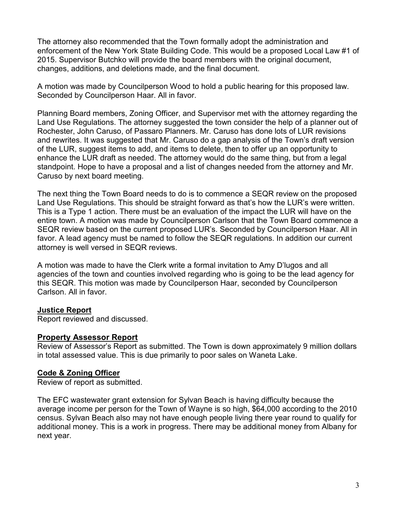The attorney also recommended that the Town formally adopt the administration and enforcement of the New York State Building Code. This would be a proposed Local Law #1 of 2015. Supervisor Butchko will provide the board members with the original document, changes, additions, and deletions made, and the final document.

A motion was made by Councilperson Wood to hold a public hearing for this proposed law. Seconded by Councilperson Haar. All in favor.

Planning Board members, Zoning Officer, and Supervisor met with the attorney regarding the Land Use Regulations. The attorney suggested the town consider the help of a planner out of Rochester, John Caruso, of Passaro Planners. Mr. Caruso has done lots of LUR revisions and rewrites. It was suggested that Mr. Caruso do a gap analysis of the Town's draft version of the LUR, suggest items to add, and items to delete, then to offer up an opportunity to enhance the LUR draft as needed. The attorney would do the same thing, but from a legal standpoint. Hope to have a proposal and a list of changes needed from the attorney and Mr. Caruso by next board meeting.

The next thing the Town Board needs to do is to commence a SEQR review on the proposed Land Use Regulations. This should be straight forward as that's how the LUR's were written. This is a Type 1 action. There must be an evaluation of the impact the LUR will have on the entire town. A motion was made by Councilperson Carlson that the Town Board commence a SEQR review based on the current proposed LUR's. Seconded by Councilperson Haar. All in favor. A lead agency must be named to follow the SEQR regulations. In addition our current attorney is well versed in SEQR reviews.

A motion was made to have the Clerk write a formal invitation to Amy D'lugos and all agencies of the town and counties involved regarding who is going to be the lead agency for this SEQR. This motion was made by Councilperson Haar, seconded by Councilperson Carlson. All in favor.

## **Justice Report**

Report reviewed and discussed.

#### **Property Assessor Report**

Review of Assessor's Report as submitted. The Town is down approximately 9 million dollars in total assessed value. This is due primarily to poor sales on Waneta Lake.

#### **Code & Zoning Officer**

Review of report as submitted.

The EFC wastewater grant extension for Sylvan Beach is having difficulty because the average income per person for the Town of Wayne is so high, \$64,000 according to the 2010 census. Sylvan Beach also may not have enough people living there year round to qualify for additional money. This is a work in progress. There may be additional money from Albany for next year.